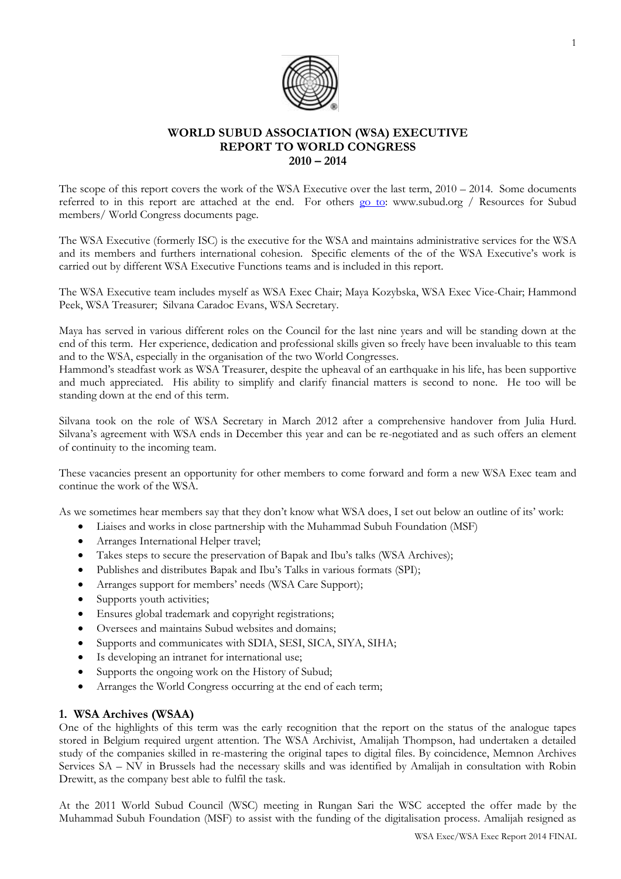

# **WORLD SUBUD ASSOCIATION (WSA) EXECUTIVE REPORT TO WORLD CONGRESS 2010 – 2014**

The scope of this report covers the work of the WSA Executive over the last term, 2010 – 2014. Some documents referred to in this report are attached at the end. For others [go to:](http://www.subud.org/start.php?mcat=6&scat=52) www.subud.org / Resources for Subud members/ World Congress documents page.

The WSA Executive (formerly ISC) is the executive for the WSA and maintains administrative services for the WSA and its members and furthers international cohesion. Specific elements of the of the WSA Executive's work is carried out by different WSA Executive Functions teams and is included in this report.

The WSA Executive team includes myself as WSA Exec Chair; Maya Kozybska, WSA Exec Vice-Chair; Hammond Peek, WSA Treasurer; Silvana Caradoc Evans, WSA Secretary.

Maya has served in various different roles on the Council for the last nine years and will be standing down at the end of this term. Her experience, dedication and professional skills given so freely have been invaluable to this team and to the WSA, especially in the organisation of the two World Congresses.

Hammond's steadfast work as WSA Treasurer, despite the upheaval of an earthquake in his life, has been supportive and much appreciated. His ability to simplify and clarify financial matters is second to none. He too will be standing down at the end of this term.

Silvana took on the role of WSA Secretary in March 2012 after a comprehensive handover from Julia Hurd. Silvana's agreement with WSA ends in December this year and can be re-negotiated and as such offers an element of continuity to the incoming team.

These vacancies present an opportunity for other members to come forward and form a new WSA Exec team and continue the work of the WSA.

As we sometimes hear members say that they don't know what WSA does, I set out below an outline of its' work:

- Liaises and works in close partnership with the Muhammad Subuh Foundation (MSF)
- Arranges International Helper travel;
- Takes steps to secure the preservation of Bapak and Ibu's talks (WSA Archives);
- Publishes and distributes Bapak and Ibu's Talks in various formats (SPI);
- Arranges support for members' needs (WSA Care Support);
- Supports youth activities;
- Ensures global trademark and copyright registrations;
- Oversees and maintains Subud websites and domains;
- Supports and communicates with SDIA, SESI, SICA, SIYA, SIHA;
- Is developing an intranet for international use;
- Supports the ongoing work on the History of Subud;
- Arranges the World Congress occurring at the end of each term;

# **1. WSA Archives (WSAA)**

One of the highlights of this term was the early recognition that the report on the status of the analogue tapes stored in Belgium required urgent attention. The WSA Archivist, Amalijah Thompson, had undertaken a detailed study of the companies skilled in re-mastering the original tapes to digital files. By coincidence, Memnon Archives Services SA – NV in Brussels had the necessary skills and was identified by Amalijah in consultation with Robin Drewitt, as the company best able to fulfil the task.

At the 2011 World Subud Council (WSC) meeting in Rungan Sari the WSC accepted the offer made by the Muhammad Subuh Foundation (MSF) to assist with the funding of the digitalisation process. Amalijah resigned as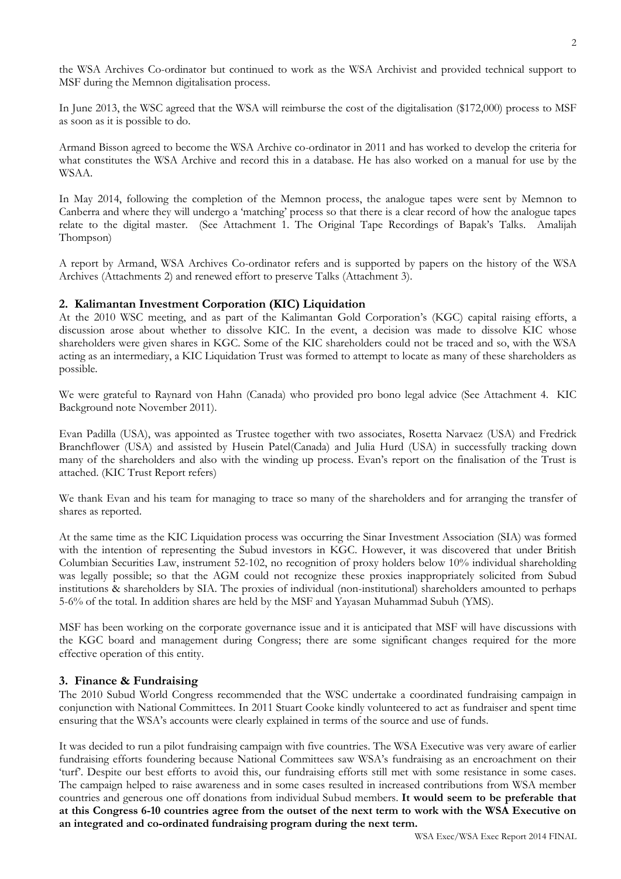the WSA Archives Co-ordinator but continued to work as the WSA Archivist and provided technical support to MSF during the Memnon digitalisation process.

In June 2013, the WSC agreed that the WSA will reimburse the cost of the digitalisation (\$172,000) process to MSF as soon as it is possible to do.

Armand Bisson agreed to become the WSA Archive co-ordinator in 2011 and has worked to develop the criteria for what constitutes the WSA Archive and record this in a database. He has also worked on a manual for use by the WSAA.

In May 2014, following the completion of the Memnon process, the analogue tapes were sent by Memnon to Canberra and where they will undergo a 'matching' process so that there is a clear record of how the analogue tapes relate to the digital master. (See Attachment 1. The Original Tape Recordings of Bapak's Talks. Amalijah Thompson)

A report by Armand, WSA Archives Co-ordinator refers and is supported by papers on the history of the WSA Archives (Attachments 2) and renewed effort to preserve Talks (Attachment 3).

## **2. Kalimantan Investment Corporation (KIC) Liquidation**

At the 2010 WSC meeting, and as part of the Kalimantan Gold Corporation's (KGC) capital raising efforts, a discussion arose about whether to dissolve KIC. In the event, a decision was made to dissolve KIC whose shareholders were given shares in KGC. Some of the KIC shareholders could not be traced and so, with the WSA acting as an intermediary, a KIC Liquidation Trust was formed to attempt to locate as many of these shareholders as possible.

We were grateful to Raynard von Hahn (Canada) who provided pro bono legal advice (See Attachment 4. KIC Background note November 2011).

Evan Padilla (USA), was appointed as Trustee together with two associates, Rosetta Narvaez (USA) and Fredrick Branchflower (USA) and assisted by Husein Patel(Canada) and Julia Hurd (USA) in successfully tracking down many of the shareholders and also with the winding up process. Evan's report on the finalisation of the Trust is attached. (KIC Trust Report refers)

We thank Evan and his team for managing to trace so many of the shareholders and for arranging the transfer of shares as reported.

At the same time as the KIC Liquidation process was occurring the Sinar Investment Association (SIA) was formed with the intention of representing the Subud investors in KGC. However, it was discovered that under British Columbian Securities Law, instrument 52-102, no recognition of proxy holders below 10% individual shareholding was legally possible; so that the AGM could not recognize these proxies inappropriately solicited from Subud institutions & shareholders by SIA. The proxies of individual (non-institutional) shareholders amounted to perhaps 5-6% of the total. In addition shares are held by the MSF and Yayasan Muhammad Subuh (YMS).

MSF has been working on the corporate governance issue and it is anticipated that MSF will have discussions with the KGC board and management during Congress; there are some significant changes required for the more effective operation of this entity.

### **3. Finance & Fundraising**

The 2010 Subud World Congress recommended that the WSC undertake a coordinated fundraising campaign in conjunction with National Committees. In 2011 Stuart Cooke kindly volunteered to act as fundraiser and spent time ensuring that the WSA's accounts were clearly explained in terms of the source and use of funds.

It was decided to run a pilot fundraising campaign with five countries. The WSA Executive was very aware of earlier fundraising efforts foundering because National Committees saw WSA's fundraising as an encroachment on their 'turf'. Despite our best efforts to avoid this, our fundraising efforts still met with some resistance in some cases. The campaign helped to raise awareness and in some cases resulted in increased contributions from WSA member countries and generous one off donations from individual Subud members. **It would seem to be preferable that at this Congress 6-10 countries agree from the outset of the next term to work with the WSA Executive on an integrated and co-ordinated fundraising program during the next term.**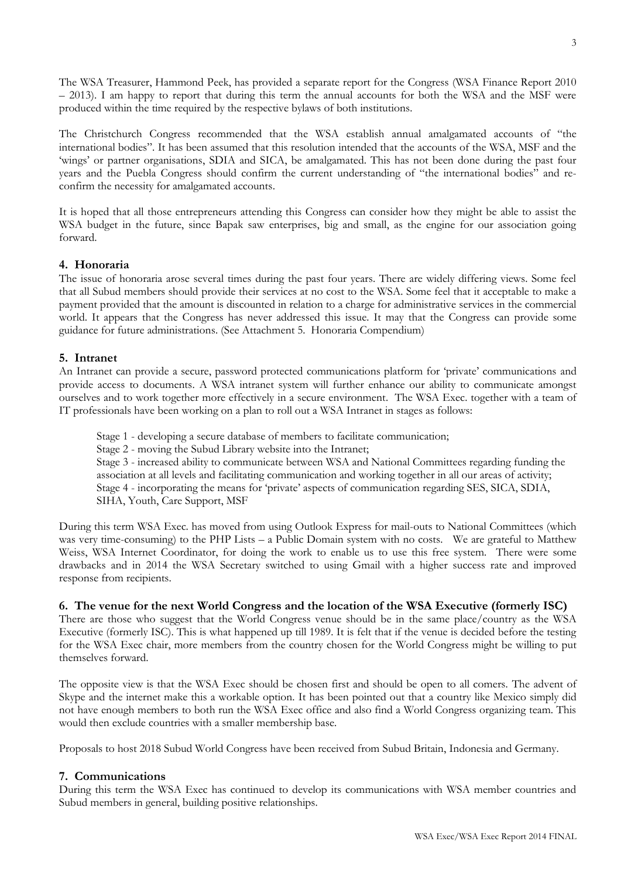The WSA Treasurer, Hammond Peek, has provided a separate report for the Congress (WSA Finance Report 2010 – 2013). I am happy to report that during this term the annual accounts for both the WSA and the MSF were produced within the time required by the respective bylaws of both institutions.

The Christchurch Congress recommended that the WSA establish annual amalgamated accounts of "the international bodies". It has been assumed that this resolution intended that the accounts of the WSA, MSF and the 'wings' or partner organisations, SDIA and SICA, be amalgamated. This has not been done during the past four years and the Puebla Congress should confirm the current understanding of "the international bodies" and reconfirm the necessity for amalgamated accounts.

It is hoped that all those entrepreneurs attending this Congress can consider how they might be able to assist the WSA budget in the future, since Bapak saw enterprises, big and small, as the engine for our association going forward.

# **4. Honoraria**

The issue of honoraria arose several times during the past four years. There are widely differing views. Some feel that all Subud members should provide their services at no cost to the WSA. Some feel that it acceptable to make a payment provided that the amount is discounted in relation to a charge for administrative services in the commercial world. It appears that the Congress has never addressed this issue. It may that the Congress can provide some guidance for future administrations. (See Attachment 5. Honoraria Compendium)

## **5. Intranet**

An Intranet can provide a secure, password protected communications platform for 'private' communications and provide access to documents. A WSA intranet system will further enhance our ability to communicate amongst ourselves and to work together more effectively in a secure environment. The WSA Exec. together with a team of IT professionals have been working on a plan to roll out a WSA Intranet in stages as follows:

Stage 1 - developing a secure database of members to facilitate communication;

Stage 2 - moving the Subud Library website into the Intranet;

Stage 3 - increased ability to communicate between WSA and National Committees regarding funding the association at all levels and facilitating communication and working together in all our areas of activity; Stage 4 - incorporating the means for 'private' aspects of communication regarding SES, SICA, SDIA, SIHA, Youth, Care Support, MSF

During this term WSA Exec. has moved from using Outlook Express for mail-outs to National Committees (which was very time-consuming) to the PHP Lists – a Public Domain system with no costs. We are grateful to Matthew Weiss, WSA Internet Coordinator, for doing the work to enable us to use this free system. There were some drawbacks and in 2014 the WSA Secretary switched to using Gmail with a higher success rate and improved response from recipients.

# **6. The venue for the next World Congress and the location of the WSA Executive (formerly ISC)**

There are those who suggest that the World Congress venue should be in the same place/country as the WSA Executive (formerly ISC). This is what happened up till 1989. It is felt that if the venue is decided before the testing for the WSA Exec chair, more members from the country chosen for the World Congress might be willing to put themselves forward.

The opposite view is that the WSA Exec should be chosen first and should be open to all comers. The advent of Skype and the internet make this a workable option. It has been pointed out that a country like Mexico simply did not have enough members to both run the WSA Exec office and also find a World Congress organizing team. This would then exclude countries with a smaller membership base.

Proposals to host 2018 Subud World Congress have been received from Subud Britain, Indonesia and Germany.

### **7. Communications**

During this term the WSA Exec has continued to develop its communications with WSA member countries and Subud members in general, building positive relationships.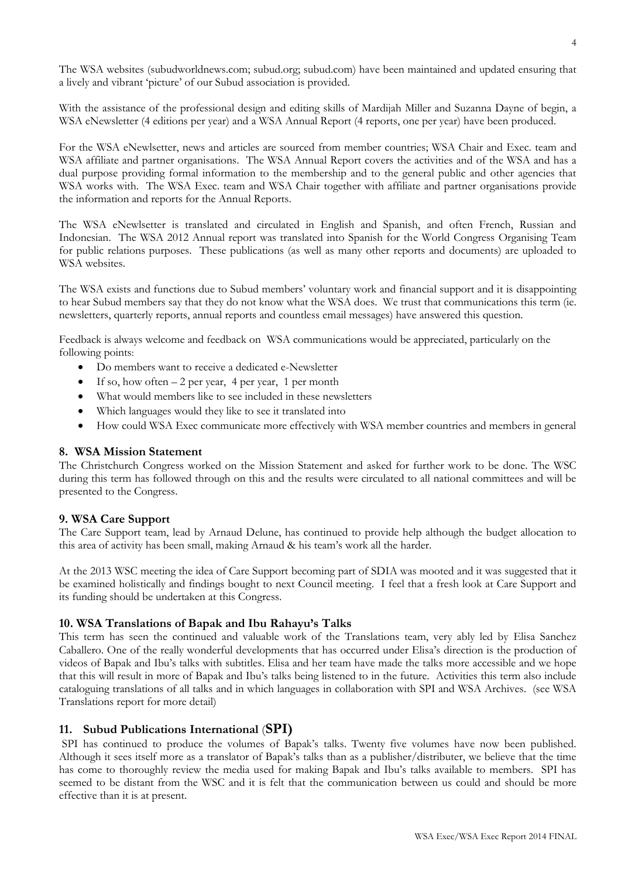The WSA websites (subudworldnews.com; subud.org; subud.com) have been maintained and updated ensuring that a lively and vibrant 'picture' of our Subud association is provided.

With the assistance of the professional design and editing skills of Mardijah Miller and Suzanna Dayne of begin, a WSA eNewsletter (4 editions per year) and a WSA Annual Report (4 reports, one per year) have been produced.

For the WSA eNewlsetter, news and articles are sourced from member countries; WSA Chair and Exec. team and WSA affiliate and partner organisations. The WSA Annual Report covers the activities and of the WSA and has a dual purpose providing formal information to the membership and to the general public and other agencies that WSA works with. The WSA Exec. team and WSA Chair together with affiliate and partner organisations provide the information and reports for the Annual Reports.

The WSA eNewlsetter is translated and circulated in English and Spanish, and often French, Russian and Indonesian. The WSA 2012 Annual report was translated into Spanish for the World Congress Organising Team for public relations purposes. These publications (as well as many other reports and documents) are uploaded to WSA websites.

The WSA exists and functions due to Subud members' voluntary work and financial support and it is disappointing to hear Subud members say that they do not know what the WSA does. We trust that communications this term (ie. newsletters, quarterly reports, annual reports and countless email messages) have answered this question.

Feedback is always welcome and feedback on WSA communications would be appreciated, particularly on the following points:

- Do members want to receive a dedicated e-Newsletter
- If so, how often  $-2$  per year, 4 per year, 1 per month
- What would members like to see included in these newsletters
- Which languages would they like to see it translated into
- How could WSA Exec communicate more effectively with WSA member countries and members in general

# **8. WSA Mission Statement**

The Christchurch Congress worked on the Mission Statement and asked for further work to be done. The WSC during this term has followed through on this and the results were circulated to all national committees and will be presented to the Congress.

# **9. WSA Care Support**

The Care Support team, lead by Arnaud Delune, has continued to provide help although the budget allocation to this area of activity has been small, making Arnaud & his team's work all the harder.

At the 2013 WSC meeting the idea of Care Support becoming part of SDIA was mooted and it was suggested that it be examined holistically and findings bought to next Council meeting. I feel that a fresh look at Care Support and its funding should be undertaken at this Congress.

# **10. WSA Translations of Bapak and Ibu Rahayu's Talks**

This term has seen the continued and valuable work of the Translations team, very ably led by Elisa Sanchez Caballero. One of the really wonderful developments that has occurred under Elisa's direction is the production of videos of Bapak and Ibu's talks with subtitles. Elisa and her team have made the talks more accessible and we hope that this will result in more of Bapak and Ibu's talks being listened to in the future. Activities this term also include cataloguing translations of all talks and in which languages in collaboration with SPI and WSA Archives. (see WSA Translations report for more detail)

# **11. Subud Publications International** (**SPI)**

SPI has continued to produce the volumes of Bapak's talks. Twenty five volumes have now been published. Although it sees itself more as a translator of Bapak's talks than as a publisher/distributer, we believe that the time has come to thoroughly review the media used for making Bapak and Ibu's talks available to members. SPI has seemed to be distant from the WSC and it is felt that the communication between us could and should be more effective than it is at present.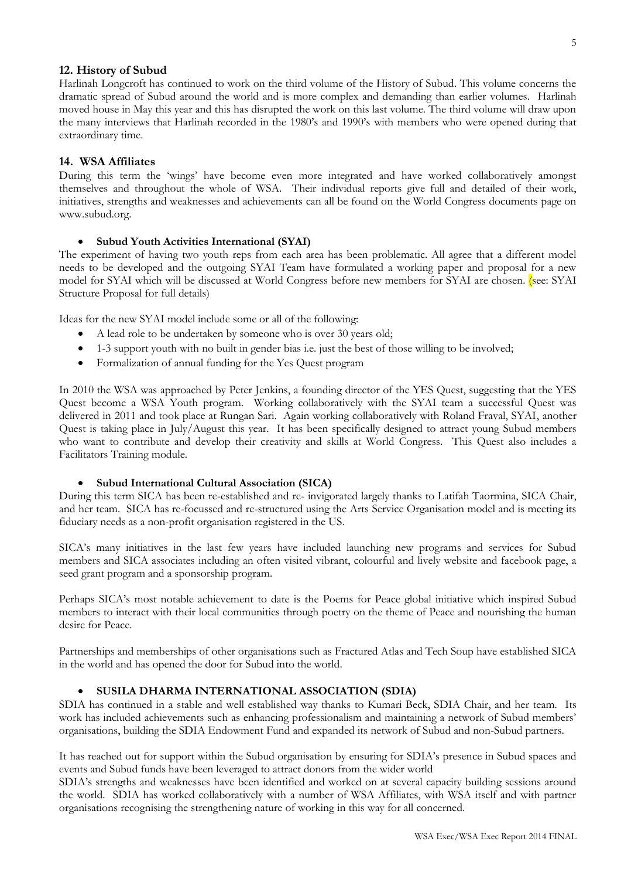## **12. History of Subud**

Harlinah Longcroft has continued to work on the third volume of the History of Subud. This volume concerns the dramatic spread of Subud around the world and is more complex and demanding than earlier volumes. Harlinah moved house in May this year and this has disrupted the work on this last volume. The third volume will draw upon the many interviews that Harlinah recorded in the 1980's and 1990's with members who were opened during that extraordinary time.

### **14. WSA Affiliates**

During this term the 'wings' have become even more integrated and have worked collaboratively amongst themselves and throughout the whole of WSA. Their individual reports give full and detailed of their work, initiatives, strengths and weaknesses and achievements can all be found on the World Congress documents page on www.subud.org.

### **Subud Youth Activities International (SYAI)**

The experiment of having two youth reps from each area has been problematic. All agree that a different model needs to be developed and the outgoing SYAI Team have formulated a working paper and proposal for a new model for SYAI which will be discussed at World Congress before new members for SYAI are chosen. (see: SYAI Structure Proposal for full details)

Ideas for the new SYAI model include some or all of the following:

- A lead role to be undertaken by someone who is over 30 years old;
- 1-3 support youth with no built in gender bias i.e. just the best of those willing to be involved;
- Formalization of annual funding for the Yes Quest program

In 2010 the WSA was approached by Peter Jenkins, a founding director of the YES Quest, suggesting that the YES Quest become a WSA Youth program. Working collaboratively with the SYAI team a successful Quest was delivered in 2011 and took place at Rungan Sari. Again working collaboratively with Roland Fraval, SYAI, another Quest is taking place in July/August this year. It has been specifically designed to attract young Subud members who want to contribute and develop their creativity and skills at World Congress. This Quest also includes a Facilitators Training module.

### **Subud International Cultural Association (SICA)**

During this term SICA has been re-established and re- invigorated largely thanks to Latifah Taormina, SICA Chair, and her team. SICA has re-focussed and re-structured using the Arts Service Organisation model and is meeting its fiduciary needs as a non-profit organisation registered in the US.

SICA's many initiatives in the last few years have included launching new programs and services for Subud members and SICA associates including an often visited vibrant, colourful and lively website and facebook page, a seed grant program and a sponsorship program.

Perhaps SICA's most notable achievement to date is the Poems for Peace global initiative which inspired Subud members to interact with their local communities through poetry on the theme of Peace and nourishing the human desire for Peace.

Partnerships and memberships of other organisations such as Fractured Atlas and Tech Soup have established SICA in the world and has opened the door for Subud into the world.

### **SUSILA DHARMA INTERNATIONAL ASSOCIATION (SDIA)**

SDIA has continued in a stable and well established way thanks to Kumari Beck, SDIA Chair, and her team. Its work has included achievements such as enhancing professionalism and maintaining a network of Subud members' organisations, building the SDIA Endowment Fund and expanded its network of Subud and non-Subud partners.

It has reached out for support within the Subud organisation by ensuring for SDIA's presence in Subud spaces and events and Subud funds have been leveraged to attract donors from the wider world

SDIA's strengths and weaknesses have been identified and worked on at several capacity building sessions around the world. SDIA has worked collaboratively with a number of WSA Affiliates, with WSA itself and with partner organisations recognising the strengthening nature of working in this way for all concerned.